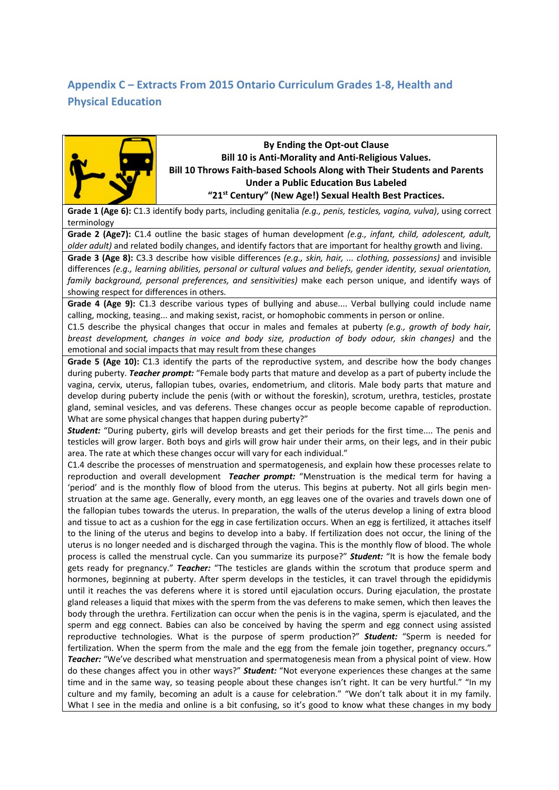## **Appendix C – Extracts From 2015 Ontario Curriculum Grades 1-8, Health and Physical Education**



## **By Ending the Opt-out Clause Bill 10 is Anti-Morality and Anti-Religious Values. Bill 10 Throws Faith-based Schools Along with Their Students and Parents Under a Public Education Bus Labeled "21st Century" (New Age!) Sexual Health Best Practices.**

**Grade 1 (Age 6):** C1.3 identify body parts, including genitalia *(e.g., penis, testicles, vagina, vulva)*, using correct terminology

**Grade 2 (Age7):** C1.4 outline the basic stages of human development *(e.g., infant, child, adolescent, adult, older adult)* and related bodily changes, and identify factors that are important for healthy growth and living.

**Grade 3 (Age 8):** C3.3 describe how visible differences *(e.g., skin, hair, ... clothing, possessions)* and invisible differences *(e.g., learning abilities, personal or cultural values and beliefs, gender identity, sexual orientation, family background, personal preferences, and sensitivities)* make each person unique, and identify ways of showing respect for differences in others.

**Grade 4 (Age 9):** C1.3 describe various types of bullying and abuse.... Verbal bullying could include name calling, mocking, teasing... and making sexist, racist, or homophobic comments in person or online.

C1.5 describe the physical changes that occur in males and females at puberty *(e.g., growth of body hair, breast development, changes in voice and body size, production of body odour, skin changes)* and the emotional and social impacts that may result from these changes

**Grade 5 (Age 10):** C1.3 identify the parts of the reproductive system, and describe how the body changes during puberty. *Teacher prompt:* "Female body parts that mature and develop as a part of puberty include the vagina, cervix, uterus, fallopian tubes, ovaries, endometrium, and clitoris. Male body parts that mature and develop during puberty include the penis (with or without the foreskin), scrotum, urethra, testicles, prostate gland, seminal vesicles, and vas deferens. These changes occur as people become capable of reproduction. What are some physical changes that happen during puberty?"

*Student:* "During puberty, girls will develop breasts and get their periods for the first time.... The penis and testicles will grow larger. Both boys and girls will grow hair under their arms, on their legs, and in their pubic area. The rate at which these changes occur will vary for each individual."

C1.4 describe the processes of menstruation and spermatogenesis, and explain how these processes relate to reproduction and overall development *Teacher prompt:* "Menstruation is the medical term for having a 'period' and is the monthly flow of blood from the uterus. This begins at puberty. Not all girls begin menstruation at the same age. Generally, every month, an egg leaves one of the ovaries and travels down one of the fallopian tubes towards the uterus. In preparation, the walls of the uterus develop a lining of extra blood and tissue to act as a cushion for the egg in case fertilization occurs. When an egg is fertilized, it attaches itself to the lining of the uterus and begins to develop into a baby. If fertilization does not occur, the lining of the uterus is no longer needed and is discharged through the vagina. This is the monthly flow of blood. The whole process is called the menstrual cycle. Can you summarize its purpose?" *Student:* "It is how the female body gets ready for pregnancy." *Teacher:* "The testicles are glands within the scrotum that produce sperm and hormones, beginning at puberty. After sperm develops in the testicles, it can travel through the epididymis until it reaches the vas deferens where it is stored until ejaculation occurs. During ejaculation, the prostate gland releases a liquid that mixes with the sperm from the vas deferens to make semen, which then leaves the body through the urethra. Fertilization can occur when the penis is in the vagina, sperm is ejaculated, and the sperm and egg connect. Babies can also be conceived by having the sperm and egg connect using assisted reproductive technologies. What is the purpose of sperm production?" *Student:* "Sperm is needed for fertilization. When the sperm from the male and the egg from the female join together, pregnancy occurs." *Teacher:* "We've described what menstruation and spermatogenesis mean from a physical point of view. How do these changes affect you in other ways?" *Student:* "Not everyone experiences these changes at the same time and in the same way, so teasing people about these changes isn't right. It can be very hurtful." "In my culture and my family, becoming an adult is a cause for celebration." "We don't talk about it in my family. What I see in the media and online is a bit confusing, so it's good to know what these changes in my body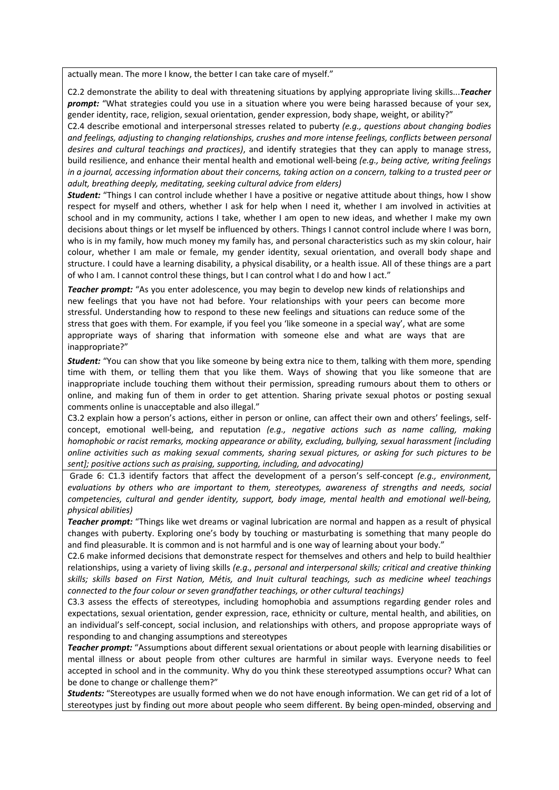actually mean. The more I know, the better I can take care of myself."

C2.2 demonstrate the ability to deal with threatening situations by applying appropriate living skills...*Teacher prompt:* "What strategies could you use in a situation where you were being harassed because of your sex, gender identity, race, religion, sexual orientation, gender expression, body shape, weight, or ability?"

C2.4 describe emotional and interpersonal stresses related to puberty *(e.g., questions about changing bodies and feelings, adjusting to changing relationships, crushes and more intense feelings, conflicts between personal desires and cultural teachings and practices)*, and identify strategies that they can apply to manage stress, build resilience, and enhance their mental health and emotional well-being *(e.g., being active, writing feelings in a journal, accessing information about their concerns, taking action on a concern, talking to a trusted peer or adult, breathing deeply, meditating, seeking cultural advice from elders)*

*Student:* "Things I can control include whether I have a positive or negative attitude about things, how I show respect for myself and others, whether I ask for help when I need it, whether I am involved in activities at school and in my community, actions I take, whether I am open to new ideas, and whether I make my own decisions about things or let myself be influenced by others. Things I cannot control include where I was born, who is in my family, how much money my family has, and personal characteristics such as my skin colour, hair colour, whether I am male or female, my gender identity, sexual orientation, and overall body shape and structure. I could have a learning disability, a physical disability, or a health issue. All of these things are a part of who I am. I cannot control these things, but I can control what I do and how I act."

**Teacher prompt:** "As you enter adolescence, you may begin to develop new kinds of relationships and new feelings that you have not had before. Your relationships with your peers can become more stressful. Understanding how to respond to these new feelings and situations can reduce some of the stress that goes with them. For example, if you feel you 'like someone in a special way', what are some appropriate ways of sharing that information with someone else and what are ways that are inappropriate?"

*Student:* "You can show that you like someone by being extra nice to them, talking with them more, spending time with them, or telling them that you like them. Ways of showing that you like someone that are inappropriate include touching them without their permission, spreading rumours about them to others or online, and making fun of them in order to get attention. Sharing private sexual photos or posting sexual comments online is unacceptable and also illegal."

C3.2 explain how a person's actions, either in person or online, can affect their own and others' feelings, selfconcept, emotional well-being, and reputation *(e.g., negative actions such as name calling, making homophobic or racist remarks, mocking appearance or ability, excluding, bullying, sexual harassment [including online activities such as making sexual comments, sharing sexual pictures, or asking for such pictures to be sent]; positive actions such as praising, supporting, including, and advocating)*

Grade 6: C1.3 identify factors that affect the development of a person's self-concept *(e.g., environment, evaluations by others who are important to them, stereotypes, awareness of strengths and needs, social competencies, cultural and gender identity, support, body image, mental health and emotional well-being, physical abilities)*

*Teacher prompt:* "Things like wet dreams or vaginal lubrication are normal and happen as a result of physical changes with puberty. Exploring one's body by touching or masturbating is something that many people do and find pleasurable. It is common and is not harmful and is one way of learning about your body."

C2.6 make informed decisions that demonstrate respect for themselves and others and help to build healthier relationships, using a variety of living skills *(e.g., personal and interpersonal skills; critical and creative thinking skills; skills based on First Nation, Métis, and Inuit cultural teachings, such as medicine wheel teachings connected to the four colour or seven grandfather teachings, or other cultural teachings)*

C3.3 assess the effects of stereotypes, including homophobia and assumptions regarding gender roles and expectations, sexual orientation, gender expression, race, ethnicity or culture, mental health, and abilities, on an individual's self-concept, social inclusion, and relationships with others, and propose appropriate ways of responding to and changing assumptions and stereotypes

*Teacher prompt:* "Assumptions about different sexual orientations or about people with learning disabilities or mental illness or about people from other cultures are harmful in similar ways. Everyone needs to feel accepted in school and in the community. Why do you think these stereotyped assumptions occur? What can be done to change or challenge them?"

*Students:* "Stereotypes are usually formed when we do not have enough information. We can get rid of a lot of stereotypes just by finding out more about people who seem different. By being open-minded, observing and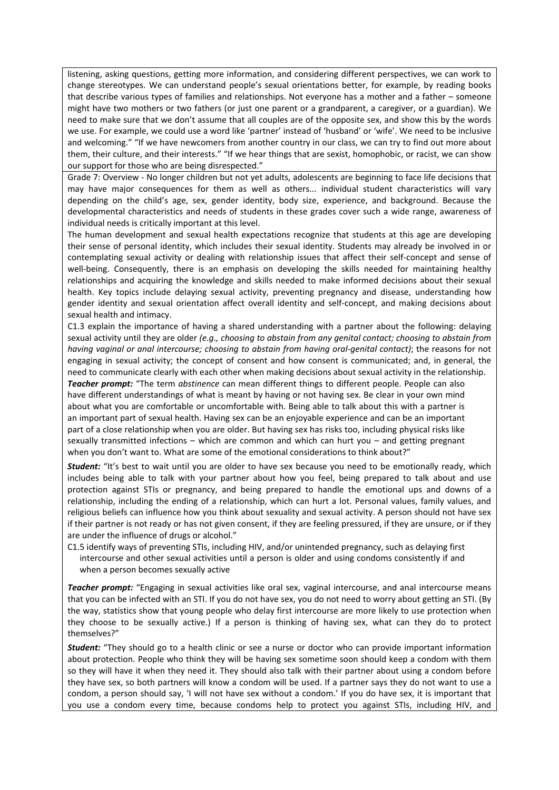listening, asking questions, getting more information, and considering different perspectives, we can work to change stereotypes. We can understand people's sexual orientations better, for example, by reading books that describe various types of families and relationships. Not everyone has a mother and a father – someone might have two mothers or two fathers (or just one parent or a grandparent, a caregiver, or a guardian). We need to make sure that we don't assume that all couples are of the opposite sex, and show this by the words we use. For example, we could use a word like 'partner' instead of 'husband' or 'wife'. We need to be inclusive and welcoming." "If we have newcomers from another country in our class, we can try to find out more about them, their culture, and their interests." "If we hear things that are sexist, homophobic, or racist, we can show our support for those who are being disrespected."

Grade 7: Overview - No longer children but not yet adults, adolescents are beginning to face life decisions that may have major consequences for them as well as others... individual student characteristics will vary depending on the child's age, sex, gender identity, body size, experience, and background. Because the developmental characteristics and needs of students in these grades cover such a wide range, awareness of individual needs is critically important at this level.

The human development and sexual health expectations recognize that students at this age are developing their sense of personal identity, which includes their sexual identity. Students may already be involved in or contemplating sexual activity or dealing with relationship issues that affect their self-concept and sense of well-being. Consequently, there is an emphasis on developing the skills needed for maintaining healthy relationships and acquiring the knowledge and skills needed to make informed decisions about their sexual health. Key topics include delaying sexual activity, preventing pregnancy and disease, understanding how gender identity and sexual orientation affect overall identity and self-concept, and making decisions about sexual health and intimacy.

C1.3 explain the importance of having a shared understanding with a partner about the following: delaying sexual activity until they are older *(e.g., choosing to abstain from any genital contact; choosing to abstain from having vaginal or anal intercourse; choosing to abstain from having oral-genital contact)*; the reasons for not engaging in sexual activity; the concept of consent and how consent is communicated; and, in general, the need to communicate clearly with each other when making decisions about sexual activity in the relationship.

*Teacher prompt:* "The term *abstinence* can mean different things to different people. People can also have different understandings of what is meant by having or not having sex. Be clear in your own mind about what you are comfortable or uncomfortable with. Being able to talk about this with a partner is an important part of sexual health. Having sex can be an enjoyable experience and can be an important part of a close relationship when you are older. But having sex has risks too, including physical risks like sexually transmitted infections – which are common and which can hurt you – and getting pregnant when you don't want to. What are some of the emotional considerations to think about?"

*Student:* "It's best to wait until you are older to have sex because you need to be emotionally ready, which includes being able to talk with your partner about how you feel, being prepared to talk about and use protection against STIs or pregnancy, and being prepared to handle the emotional ups and downs of a relationship, including the ending of a relationship, which can hurt a lot. Personal values, family values, and religious beliefs can influence how you think about sexuality and sexual activity. A person should not have sex if their partner is not ready or has not given consent, if they are feeling pressured, if they are unsure, or if they are under the influence of drugs or alcohol."

C1.5 identify ways of preventing STIs, including HIV, and/or unintended pregnancy, such as delaying first intercourse and other sexual activities until a person is older and using condoms consistently if and when a person becomes sexually active

*Teacher prompt:* "Engaging in sexual activities like oral sex, vaginal intercourse, and anal intercourse means that you can be infected with an STI. If you do not have sex, you do not need to worry about getting an STI. (By the way, statistics show that young people who delay first intercourse are more likely to use protection when they choose to be sexually active.) If a person is thinking of having sex, what can they do to protect themselves?"

*Student:* "They should go to a health clinic or see a nurse or doctor who can provide important information about protection. People who think they will be having sex sometime soon should keep a condom with them so they will have it when they need it. They should also talk with their partner about using a condom before they have sex, so both partners will know a condom will be used. If a partner says they do not want to use a condom, a person should say, 'I will not have sex without a condom.' If you do have sex, it is important that you use a condom every time, because condoms help to protect you against STIs, including HIV, and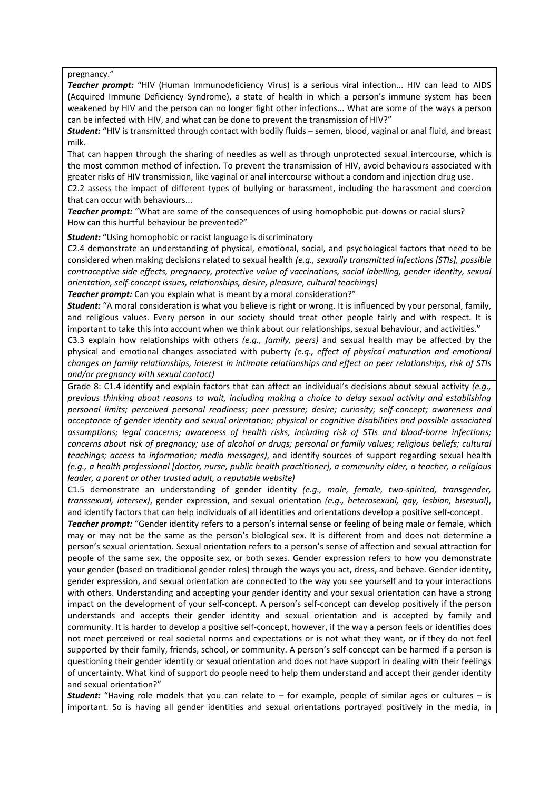pregnancy."

*Teacher prompt:* "HIV (Human Immunodeficiency Virus) is a serious viral infection... HIV can lead to AIDS (Acquired Immune Deficiency Syndrome), a state of health in which a person's immune system has been weakened by HIV and the person can no longer fight other infections... What are some of the ways a person can be infected with HIV, and what can be done to prevent the transmission of HIV?"

*Student:* "HIV is transmitted through contact with bodily fluids – semen, blood, vaginal or anal fluid, and breast milk.

That can happen through the sharing of needles as well as through unprotected sexual intercourse, which is the most common method of infection. To prevent the transmission of HIV, avoid behaviours associated with greater risks of HIV transmission, like vaginal or anal intercourse without a condom and injection drug use.

C2.2 assess the impact of different types of bullying or harassment, including the harassment and coercion that can occur with behaviours...

*Teacher prompt:* "What are some of the consequences of using homophobic put-downs or racial slurs? How can this hurtful behaviour be prevented?"

*Student:* "Using homophobic or racist language is discriminatory

C2.4 demonstrate an understanding of physical, emotional, social, and psychological factors that need to be considered when making decisions related to sexual health *(e.g., sexually transmitted infections [STIs], possible contraceptive side effects, pregnancy, protective value of vaccinations, social labelling, gender identity, sexual orientation, self-concept issues, relationships, desire, pleasure, cultural teachings)*

**Teacher prompt:** Can you explain what is meant by a moral consideration?"

*Student:* "A moral consideration is what you believe is right or wrong. It is influenced by your personal, family, and religious values. Every person in our society should treat other people fairly and with respect. It is important to take this into account when we think about our relationships, sexual behaviour, and activities."

C3.3 explain how relationships with others *(e.g., family, peers)* and sexual health may be affected by the physical and emotional changes associated with puberty *(e.g., effect of physical maturation and emotional changes on family relationships, interest in intimate relationships and effect on peer relationships, risk of STIs and/or pregnancy with sexual contact)*

Grade 8: C1.4 identify and explain factors that can affect an individual's decisions about sexual activity *(e.g., previous thinking about reasons to wait, including making a choice to delay sexual activity and establishing personal limits; perceived personal readiness; peer pressure; desire; curiosity; self-concept; awareness and acceptance of gender identity and sexual orientation; physical or cognitive disabilities and possible associated assumptions; legal concerns; awareness of health risks, including risk of STIs and blood-borne infections; concerns about risk of pregnancy; use of alcohol or drugs; personal or family values; religious beliefs; cultural teachings; access to information; media messages)*, and identify sources of support regarding sexual health *(e.g., a health professional [doctor, nurse, public health practitioner], a community elder, a teacher, a religious leader, a parent or other trusted adult, a reputable website)* 

C1.5 demonstrate an understanding of gender identity *(e.g., male, female, two-spirited, transgender, transsexual, intersex)*, gender expression, and sexual orientation *(e.g., heterosexual, gay, lesbian, bisexual)*, and identify factors that can help individuals of all identities and orientations develop a positive self-concept.

*Teacher prompt:* "Gender identity refers to a person's internal sense or feeling of being male or female, which may or may not be the same as the person's biological sex. It is different from and does not determine a person's sexual orientation. Sexual orientation refers to a person's sense of affection and sexual attraction for people of the same sex, the opposite sex, or both sexes. Gender expression refers to how you demonstrate your gender (based on traditional gender roles) through the ways you act, dress, and behave. Gender identity, gender expression, and sexual orientation are connected to the way you see yourself and to your interactions with others. Understanding and accepting your gender identity and your sexual orientation can have a strong impact on the development of your self-concept. A person's self-concept can develop positively if the person understands and accepts their gender identity and sexual orientation and is accepted by family and community. It is harder to develop a positive self-concept, however, if the way a person feels or identifies does not meet perceived or real societal norms and expectations or is not what they want, or if they do not feel supported by their family, friends, school, or community. A person's self-concept can be harmed if a person is questioning their gender identity or sexual orientation and does not have support in dealing with their feelings of uncertainty. What kind of support do people need to help them understand and accept their gender identity and sexual orientation?"

*Student:* "Having role models that you can relate to – for example, people of similar ages or cultures – is important. So is having all gender identities and sexual orientations portrayed positively in the media, in